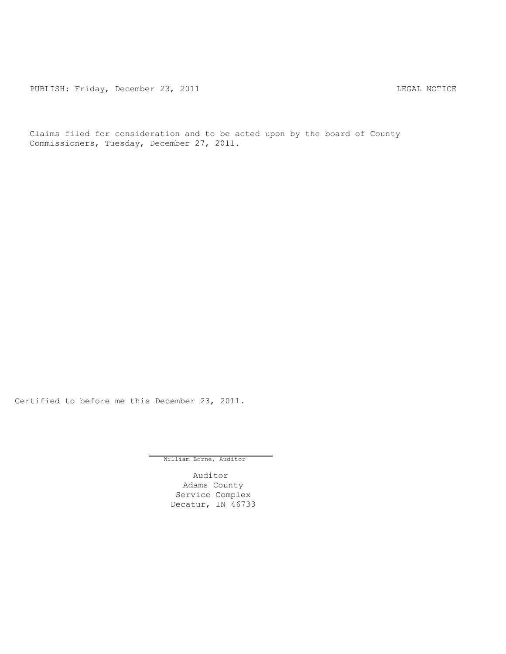PUBLISH: Friday, December 23, 2011 CHA CONTROL CONTROLLING MOTICE

Claims filed for consideration and to be acted upon by the board of County Commissioners, Tuesday, December 27, 2011.

Certified to before me this December 23, 2011.

William Borne, Auditor

Auditor Adams County Service Complex Decatur, IN 46733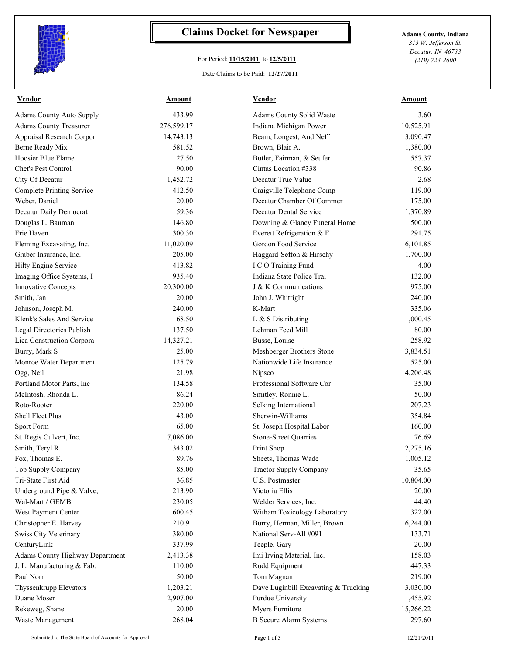

## **Claims Docket for Newspaper Adams County, Indiana**

## For Period: **11/15/2011** to **12/5/2011**

*313 W. Jefferson St. Decatur, IN 46733 (219) 724-2600*

## Date Claims to be Paid: **12/27/2011**

| <b>Vendor</b>                    | <b>Amount</b> | <b>Vendor</b>                        | <b>Amount</b> |
|----------------------------------|---------------|--------------------------------------|---------------|
| <b>Adams County Auto Supply</b>  | 433.99        | Adams County Solid Waste             | 3.60          |
| <b>Adams County Treasurer</b>    | 276,599.17    | Indiana Michigan Power               | 10,525.91     |
| Appraisal Research Corpor        | 14,743.13     | Beam, Longest, And Neff              | 3,090.47      |
| Berne Ready Mix                  | 581.52        | Brown, Blair A.                      | 1,380.00      |
| Hoosier Blue Flame               | 27.50         | Butler, Fairman, & Seufer            | 557.37        |
| Chet's Pest Control              | 90.00         | Cintas Location #338                 | 90.86         |
| City Of Decatur                  | 1,452.72      | Decatur True Value                   | 2.68          |
| <b>Complete Printing Service</b> | 412.50        | Craigville Telephone Comp            | 119.00        |
| Weber, Daniel                    | 20.00         | Decatur Chamber Of Commer            | 175.00        |
| Decatur Daily Democrat           | 59.36         | Decatur Dental Service               | 1,370.89      |
| Douglas L. Bauman                | 146.80        | Downing & Glancy Funeral Home        | 500.00        |
| Erie Haven                       | 300.30        | Everett Refrigeration & E            | 291.75        |
| Fleming Excavating, Inc.         | 11,020.09     | Gordon Food Service                  | 6,101.85      |
| Graber Insurance, Inc.           | 205.00        | Haggard-Sefton & Hirschy             | 1,700.00      |
| Hilty Engine Service             | 413.82        | I C O Training Fund                  | 4.00          |
| Imaging Office Systems, I        | 935.40        | Indiana State Police Trai            | 132.00        |
| <b>Innovative Concepts</b>       | 20,300.00     | J & K Communications                 | 975.00        |
| Smith, Jan                       | 20.00         | John J. Whitright                    | 240.00        |
| Johnson, Joseph M.               | 240.00        | K-Mart                               | 335.06        |
| Klenk's Sales And Service        | 68.50         | L & S Distributing                   | 1,000.45      |
| Legal Directories Publish        | 137.50        | Lehman Feed Mill                     | 80.00         |
| Lica Construction Corpora        | 14,327.21     | Busse, Louise                        | 258.92        |
| Burry, Mark S                    | 25.00         | Meshberger Brothers Stone            | 3,834.51      |
| Monroe Water Department          | 125.79        | Nationwide Life Insurance            | 525.00        |
| Ogg, Neil                        | 21.98         | Nipsco                               | 4,206.48      |
| Portland Motor Parts, Inc.       | 134.58        | Professional Software Cor            | 35.00         |
| McIntosh, Rhonda L.              | 86.24         | Smitley, Ronnie L.                   | 50.00         |
| Roto-Rooter                      | 220.00        | Selking International                | 207.23        |
| Shell Fleet Plus                 | 43.00         | Sherwin-Williams                     | 354.84        |
| Sport Form                       | 65.00         | St. Joseph Hospital Labor            | 160.00        |
| St. Regis Culvert, Inc.          | 7,086.00      | <b>Stone-Street Quarries</b>         | 76.69         |
| Smith, Teryl R.                  | 343.02        | Print Shop                           | 2,275.16      |
| Fox, Thomas E.                   | 89.76         | Sheets, Thomas Wade                  | 1,005.12      |
| Top Supply Company               | 85.00         | <b>Tractor Supply Company</b>        | 35.65         |
| Tri-State First Aid              | 36.85         | U.S. Postmaster                      | 10,804.00     |
| Underground Pipe & Valve,        | 213.90        | Victoria Ellis                       | 20.00         |
| Wal-Mart / GEMB                  | 230.05        | Welder Services, Inc.                | 44.40         |
| West Payment Center              | 600.45        | Witham Toxicology Laboratory         | 322.00        |
| Christopher E. Harvey            | 210.91        | Burry, Herman, Miller, Brown         | 6,244.00      |
| Swiss City Veterinary            | 380.00        | National Serv-All #091               | 133.71        |
| CenturyLink                      | 337.99        | Teeple, Gary                         | 20.00         |
| Adams County Highway Department  | 2,413.38      | Imi Irving Material, Inc.            | 158.03        |
| J. L. Manufacturing & Fab.       | 110.00        | Rudd Equipment                       | 447.33        |
| Paul Norr                        | 50.00         | Tom Magnan                           | 219.00        |
| Thyssenkrupp Elevators           | 1,203.21      | Dave Luginbill Excavating & Trucking | 3,030.00      |
| Duane Moser                      | 2,907.00      | Purdue University                    | 1,455.92      |
| Rekeweg, Shane                   | 20.00         | Myers Furniture                      | 15,266.22     |
| Waste Management                 | 268.04        | <b>B</b> Secure Alarm Systems        | 297.60        |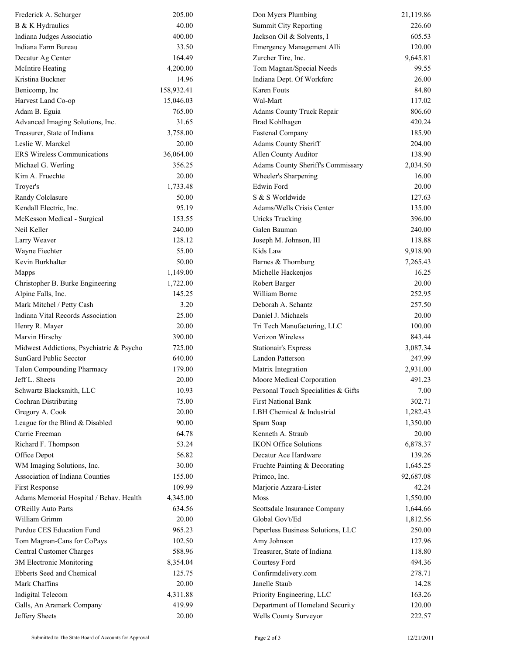| Frederick A. Schurger                    | 205.00     | Don Myers Plumbing                  | 21,119.86 |
|------------------------------------------|------------|-------------------------------------|-----------|
| B & K Hydraulics                         | 40.00      | <b>Summit City Reporting</b>        | 226.60    |
| Indiana Judges Associatio                | 400.00     | Jackson Oil & Solvents, I           | 605.53    |
| Indiana Farm Bureau                      | 33.50      | Emergency Management Alli           | 120.00    |
| Decatur Ag Center                        | 164.49     | Zurcher Tire, Inc.                  | 9,645.81  |
| <b>McIntire Heating</b>                  | 4,200.00   | Tom Magnan/Special Needs            | 99.55     |
| Kristina Buckner                         | 14.96      | Indiana Dept. Of Workforc           | 26.00     |
| Benicomp, Inc                            | 158,932.41 | <b>Karen Fouts</b>                  | 84.80     |
| Harvest Land Co-op                       | 15,046.03  | Wal-Mart                            | 117.02    |
| Adam B. Eguia                            | 765.00     | Adams County Truck Repair           | 806.60    |
| Advanced Imaging Solutions, Inc.         | 31.65      | <b>Brad Kohlhagen</b>               | 420.24    |
| Treasurer, State of Indiana              | 3,758.00   | <b>Fastenal Company</b>             | 185.90    |
| Leslie W. Marckel                        | 20.00      | Adams County Sheriff                | 204.00    |
| <b>ERS Wireless Communications</b>       | 36,064.00  | Allen County Auditor                | 138.90    |
| Michael G. Werling                       | 356.25     | Adams County Sheriff's Commissary   | 2,034.50  |
| Kim A. Fruechte                          | 20.00      | Wheeler's Sharpening                | 16.00     |
| Troyer's                                 | 1,733.48   | Edwin Ford                          | 20.00     |
| Randy Colclasure                         | 50.00      | S & S Worldwide                     | 127.63    |
| Kendall Electric, Inc.                   | 95.19      | Adams/Wells Crisis Center           | 135.00    |
| McKesson Medical - Surgical              | 153.55     | <b>Uricks Trucking</b>              | 396.00    |
| Neil Keller                              | 240.00     | Galen Bauman                        | 240.00    |
| Larry Weaver                             | 128.12     | Joseph M. Johnson, III              | 118.88    |
| Wayne Fiechter                           | 55.00      | Kids Law                            | 9,918.90  |
| Kevin Burkhalter                         | 50.00      | Barnes & Thornburg                  | 7,265.43  |
| Mapps                                    | 1,149.00   | Michelle Hackenjos                  | 16.25     |
| Christopher B. Burke Engineering         | 1,722.00   | Robert Barger                       | 20.00     |
| Alpine Falls, Inc.                       | 145.25     | William Borne                       | 252.95    |
| Mark Mitchel / Petty Cash                | 3.20       | Deborah A. Schantz                  | 257.50    |
| Indiana Vital Records Association        | 25.00      | Daniel J. Michaels                  | 20.00     |
| Henry R. Mayer                           | 20.00      | Tri Tech Manufacturing, LLC         | 100.00    |
| Marvin Hirschy                           | 390.00     | Verizon Wireless                    | 843.44    |
| Midwest Addictions, Psychiatric & Psycho | 725.00     | <b>Stationair's Express</b>         | 3,087.34  |
| SunGard Public Secctor                   | 640.00     | Landon Patterson                    | 247.99    |
| <b>Talon Compounding Pharmacy</b>        | 179.00     | Matrix Integration                  | 2,931.00  |
| Jeff L. Sheets                           | 20.00      | Moore Medical Corporation           | 491.23    |
| Schwartz Blacksmith, LLC                 | 10.93      | Personal Touch Specialities & Gifts | 7.00      |
| Cochran Distributing                     | 75.00      | First National Bank                 | 302.71    |
| Gregory A. Cook                          | 20.00      | LBH Chemical & Industrial           | 1,282.43  |
| League for the Blind & Disabled          | 90.00      | Spam Soap                           | 1,350.00  |
| Carrie Freeman                           | 64.78      | Kenneth A. Straub                   | 20.00     |
| Richard F. Thompson                      | 53.24      | <b>IKON Office Solutions</b>        | 6,878.37  |
| Office Depot                             | 56.82      | Decatur Ace Hardware                | 139.26    |
| WM Imaging Solutions, Inc.               | 30.00      | Fruchte Painting & Decorating       | 1,645.25  |
| Association of Indiana Counties          | 155.00     | Primco, Inc.                        | 92,687.08 |
| <b>First Response</b>                    | 109.99     | Marjorie Azzara-Lister              | 42.24     |
| Adams Memorial Hospital / Behav. Health  | 4,345.00   | Moss                                | 1,550.00  |
| O'Reilly Auto Parts                      | 634.56     | Scottsdale Insurance Company        | 1,644.66  |
| William Grimm                            | 20.00      | Global Gov't/Ed                     | 1,812.56  |
| Purdue CES Education Fund                | 965.23     | Paperless Business Solutions, LLC   | 250.00    |
| Tom Magnan-Cans for CoPays               | 102.50     | Amy Johnson                         | 127.96    |
| Central Customer Charges                 | 588.96     | Treasurer, State of Indiana         | 118.80    |
| 3M Electronic Monitoring                 | 8,354.04   | Courtesy Ford                       | 494.36    |
| Ebberts Seed and Chemical                | 125.75     | Confirmdelivery.com                 | 278.71    |
| Mark Chaffins                            | 20.00      | Janelle Staub                       | 14.28     |
| Indigital Telecom                        | 4,311.88   | Priority Engineering, LLC           | 163.26    |
| Galls, An Aramark Company                | 419.99     | Department of Homeland Security     | 120.00    |
| Jeffery Sheets                           | 20.00      | Wells County Surveyor               | 222.57    |
|                                          |            |                                     |           |